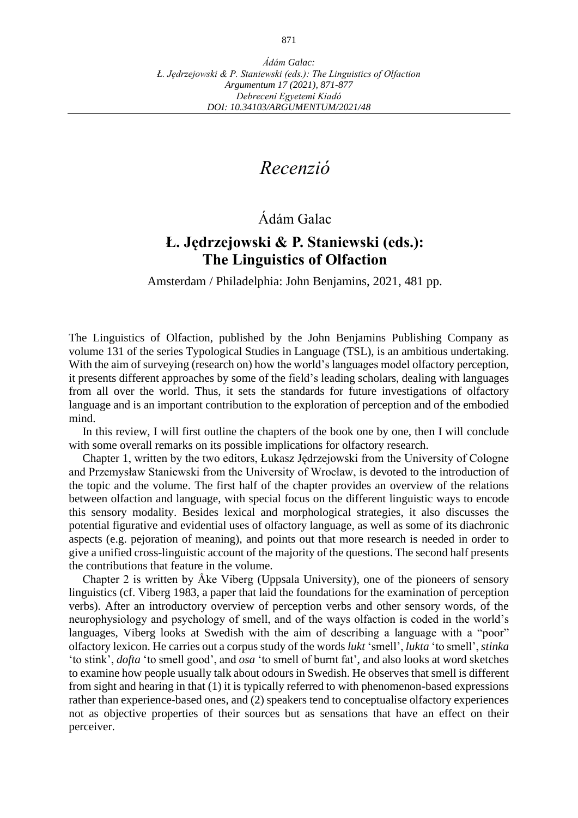## *Recenzió*

## Ádám Galac

## **Ł. Jędrzejowski & P. Staniewski (eds.): The Linguistics of Olfaction**

Amsterdam / Philadelphia: John Benjamins, 2021, 481 pp.

The Linguistics of Olfaction, published by the John Benjamins Publishing Company as volume 131 of the series Typological Studies in Language (TSL), is an ambitious undertaking. With the aim of surveying (research on) how the world's languages model olfactory perception, it presents different approaches by some of the field's leading scholars, dealing with languages from all over the world. Thus, it sets the standards for future investigations of olfactory language and is an important contribution to the exploration of perception and of the embodied mind.

In this review, I will first outline the chapters of the book one by one, then I will conclude with some overall remarks on its possible implications for olfactory research.

Chapter 1, written by the two editors, Łukasz Jędrzejowski from the University of Cologne and Przemysław Staniewski from the University of Wrocław, is devoted to the introduction of the topic and the volume. The first half of the chapter provides an overview of the relations between olfaction and language, with special focus on the different linguistic ways to encode this sensory modality. Besides lexical and morphological strategies, it also discusses the potential figurative and evidential uses of olfactory language, as well as some of its diachronic aspects (e.g. pejoration of meaning), and points out that more research is needed in order to give a unified cross-linguistic account of the majority of the questions. The second half presents the contributions that feature in the volume.

Chapter 2 is written by Åke Viberg (Uppsala University), one of the pioneers of sensory linguistics (cf. Viberg 1983, a paper that laid the foundations for the examination of perception verbs). After an introductory overview of perception verbs and other sensory words, of the neurophysiology and psychology of smell, and of the ways olfaction is coded in the world's languages, Viberg looks at Swedish with the aim of describing a language with a "poor" olfactory lexicon. He carries out a corpus study of the words *lukt* 'smell', *lukta* 'to smell', *stinka* 'to stink', *dofta* 'to smell good', and *osa* 'to smell of burnt fat', and also looks at word sketches to examine how people usually talk about odours in Swedish. He observes that smell is different from sight and hearing in that (1) it is typically referred to with phenomenon-based expressions rather than experience-based ones, and (2) speakers tend to conceptualise olfactory experiences not as objective properties of their sources but as sensations that have an effect on their perceiver.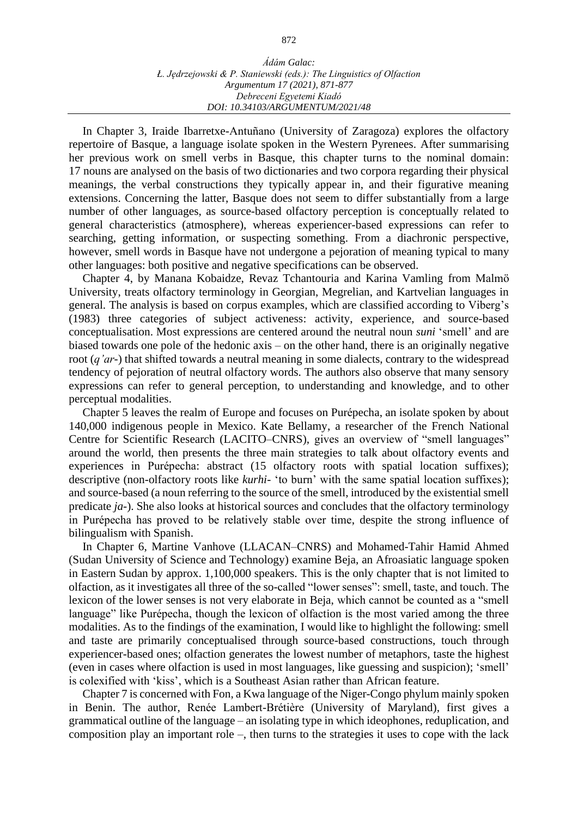In Chapter 3, Iraide Ibarretxe-Antuñano (University of Zaragoza) explores the olfactory repertoire of Basque, a language isolate spoken in the Western Pyrenees. After summarising her previous work on smell verbs in Basque, this chapter turns to the nominal domain: 17 nouns are analysed on the basis of two dictionaries and two corpora regarding their physical meanings, the verbal constructions they typically appear in, and their figurative meaning extensions. Concerning the latter, Basque does not seem to differ substantially from a large number of other languages, as source-based olfactory perception is conceptually related to general characteristics (atmosphere), whereas experiencer-based expressions can refer to searching, getting information, or suspecting something. From a diachronic perspective, however, smell words in Basque have not undergone a pejoration of meaning typical to many other languages: both positive and negative specifications can be observed.

Chapter 4, by Manana Kobaidze, Revaz Tchantouria and Karina Vamling from Malmö University, treats olfactory terminology in Georgian, Megrelian, and Kartvelian languages in general. The analysis is based on corpus examples, which are classified according to Viberg's (1983) three categories of subject activeness: activity, experience, and source-based conceptualisation. Most expressions are centered around the neutral noun *suni* 'smell' and are biased towards one pole of the hedonic axis – on the other hand, there is an originally negative root (*q'ar-*) that shifted towards a neutral meaning in some dialects, contrary to the widespread tendency of pejoration of neutral olfactory words. The authors also observe that many sensory expressions can refer to general perception, to understanding and knowledge, and to other perceptual modalities.

Chapter 5 leaves the realm of Europe and focuses on Purépecha, an isolate spoken by about 140,000 indigenous people in Mexico. Kate Bellamy, a researcher of the French National Centre for Scientific Research (LACITO–CNRS), gives an overview of "smell languages" around the world, then presents the three main strategies to talk about olfactory events and experiences in Purépecha: abstract (15 olfactory roots with spatial location suffixes); descriptive (non-olfactory roots like *kurhi*- 'to burn' with the same spatial location suffixes); and source-based (a noun referring to the source of the smell, introduced by the existential smell predicate *ja*-). She also looks at historical sources and concludes that the olfactory terminology in Purépecha has proved to be relatively stable over time, despite the strong influence of bilingualism with Spanish.

In Chapter 6, Martine Vanhove (LLACAN–CNRS) and Mohamed-Tahir Hamid Ahmed (Sudan University of Science and Technology) examine Beja, an Afroasiatic language spoken in Eastern Sudan by approx. 1,100,000 speakers. This is the only chapter that is not limited to olfaction, as it investigates all three of the so-called "lower senses": smell, taste, and touch. The lexicon of the lower senses is not very elaborate in Beja, which cannot be counted as a "smell language" like Purépecha, though the lexicon of olfaction is the most varied among the three modalities. As to the findings of the examination, I would like to highlight the following: smell and taste are primarily conceptualised through source-based constructions, touch through experiencer-based ones; olfaction generates the lowest number of metaphors, taste the highest (even in cases where olfaction is used in most languages, like guessing and suspicion); 'smell' is colexified with 'kiss', which is a Southeast Asian rather than African feature.

Chapter 7 is concerned with Fon, a Kwa language of the Niger-Congo phylum mainly spoken in Benin. The author, Renée Lambert-Brétière (University of Maryland), first gives a grammatical outline of the language – an isolating type in which ideophones, reduplication, and composition play an important role –, then turns to the strategies it uses to cope with the lack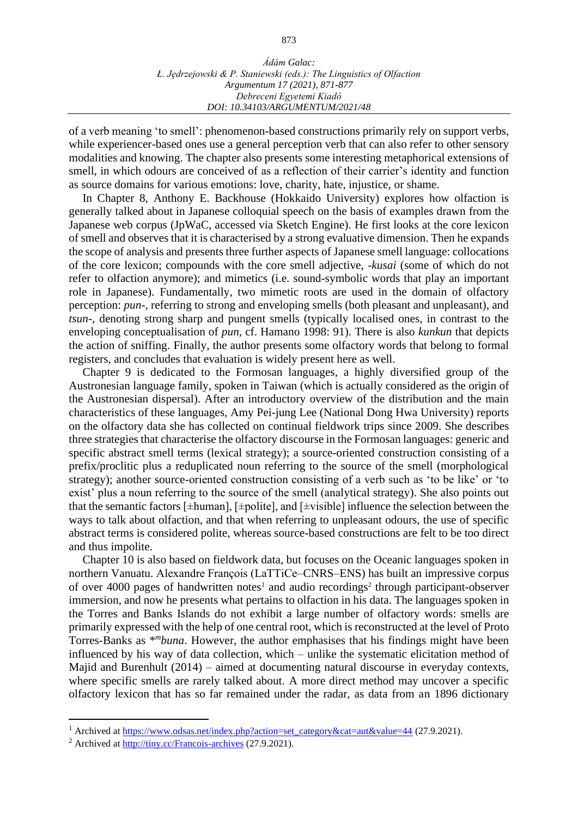of a verb meaning 'to smell': phenomenon-based constructions primarily rely on support verbs, while experiencer-based ones use a general perception verb that can also refer to other sensory modalities and knowing. The chapter also presents some interesting metaphorical extensions of smell, in which odours are conceived of as a reflection of their carrier's identity and function as source domains for various emotions: love, charity, hate, injustice, or shame.

In Chapter 8, Anthony E. Backhouse (Hokkaido University) explores how olfaction is generally talked about in Japanese colloquial speech on the basis of examples drawn from the Japanese web corpus (JpWaC, accessed via Sketch Engine). He first looks at the core lexicon of smell and observes that it is characterised by a strong evaluative dimension. Then he expands the scope of analysis and presents three further aspects of Japanese smell language: collocations of the core lexicon; compounds with the core smell adjective, -*kusai* (some of which do not refer to olfaction anymore); and mimetics (i.e. sound-symbolic words that play an important role in Japanese). Fundamentally, two mimetic roots are used in the domain of olfactory perception: *pun*-, referring to strong and enveloping smells (both pleasant and unpleasant), and *tsun*-, denoting strong sharp and pungent smells (typically localised ones, in contrast to the enveloping conceptualisation of *pun*, cf. Hamano 1998: 91). There is also *kunkun* that depicts the action of sniffing. Finally, the author presents some olfactory words that belong to formal registers, and concludes that evaluation is widely present here as well.

Chapter 9 is dedicated to the Formosan languages, a highly diversified group of the Austronesian language family, spoken in Taiwan (which is actually considered as the origin of the Austronesian dispersal). After an introductory overview of the distribution and the main characteristics of these languages, Amy Pei-jung Lee (National Dong Hwa University) reports on the olfactory data she has collected on continual fieldwork trips since 2009. She describes three strategies that characterise the olfactory discourse in the Formosan languages: generic and specific abstract smell terms (lexical strategy); a source-oriented construction consisting of a prefix/proclitic plus a reduplicated noun referring to the source of the smell (morphological strategy); another source-oriented construction consisting of a verb such as 'to be like' or 'to exist' plus a noun referring to the source of the smell (analytical strategy). She also points out that the semantic factors [±human], [±polite], and [±visible] influence the selection between the ways to talk about olfaction, and that when referring to unpleasant odours, the use of specific abstract terms is considered polite, whereas source-based constructions are felt to be too direct and thus impolite.

Chapter 10 is also based on fieldwork data, but focuses on the Oceanic languages spoken in northern Vanuatu. Alexandre François (LaTTiCe–CNRS–ENS) has built an impressive corpus of over 4000 pages of handwritten notes<sup>1</sup> and audio recordings<sup>2</sup> through participant-observer immersion, and now he presents what pertains to olfaction in his data. The languages spoken in the Torres and Banks Islands do not exhibit a large number of olfactory words: smells are primarily expressed with the help of one central root, which is reconstructed at the level of Proto Torres-Banks as \* *m buna*. However, the author emphasises that his findings might have been influenced by his way of data collection, which – unlike the systematic elicitation method of Majid and Burenhult (2014) – aimed at documenting natural discourse in everyday contexts, where specific smells are rarely talked about. A more direct method may uncover a specific olfactory lexicon that has so far remained under the radar, as data from an 1896 dictionary

<sup>&</sup>lt;sup>1</sup> Archived at [https://www.odsas.net/index.php?action=set\\_category&cat=aut&value=44](https://www.odsas.net/index.php?action=set_category&cat=aut&value=44) (27.9.2021).

<sup>2</sup> Archived at<http://tiny.cc/Francois-archives> (27.9.2021).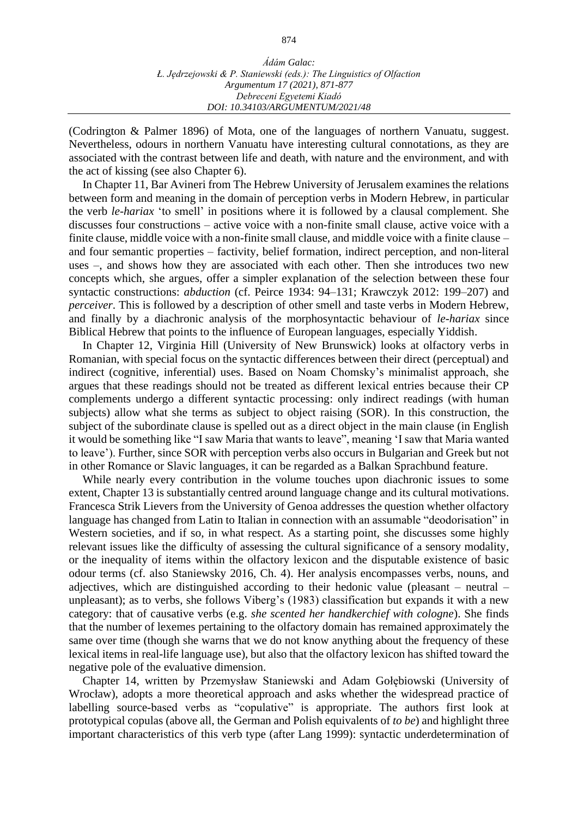| Ádám Galac:                                                          |  |  |  |
|----------------------------------------------------------------------|--|--|--|
| L. Jedrzejowski & P. Staniewski (eds.): The Linguistics of Olfaction |  |  |  |
| Argumentum 17 (2021), 871-877                                        |  |  |  |
| Debreceni Egyetemi Kiadó                                             |  |  |  |
| DOI: 10.34103/ARGUMENTUM/2021/48                                     |  |  |  |

(Codrington & Palmer 1896) of Mota, one of the languages of northern Vanuatu, suggest. Nevertheless, odours in northern Vanuatu have interesting cultural connotations, as they are associated with the contrast between life and death, with nature and the environment, and with the act of kissing (see also Chapter 6).

In Chapter 11, Bar Avineri from The Hebrew University of Jerusalem examines the relations between form and meaning in the domain of perception verbs in Modern Hebrew, in particular the verb *le-hariax* 'to smell' in positions where it is followed by a clausal complement. She discusses four constructions – active voice with a non-finite small clause, active voice with a finite clause, middle voice with a non-finite small clause, and middle voice with a finite clause – and four semantic properties – factivity, belief formation, indirect perception, and non-literal uses –, and shows how they are associated with each other. Then she introduces two new concepts which, she argues, offer a simpler explanation of the selection between these four syntactic constructions: *abduction* (cf. Peirce 1934: 94–131; Krawczyk 2012: 199–207) and *perceiver*. This is followed by a description of other smell and taste verbs in Modern Hebrew, and finally by a diachronic analysis of the morphosyntactic behaviour of *le-hariax* since Biblical Hebrew that points to the influence of European languages, especially Yiddish.

In Chapter 12, Virginia Hill (University of New Brunswick) looks at olfactory verbs in Romanian, with special focus on the syntactic differences between their direct (perceptual) and indirect (cognitive, inferential) uses. Based on Noam Chomsky's minimalist approach, she argues that these readings should not be treated as different lexical entries because their CP complements undergo a different syntactic processing: only indirect readings (with human subjects) allow what she terms as subject to object raising (SOR). In this construction, the subject of the subordinate clause is spelled out as a direct object in the main clause (in English it would be something like "I saw Maria that wants to leave", meaning 'I saw that Maria wanted to leave'). Further, since SOR with perception verbs also occurs in Bulgarian and Greek but not in other Romance or Slavic languages, it can be regarded as a Balkan Sprachbund feature.

While nearly every contribution in the volume touches upon diachronic issues to some extent, Chapter 13 is substantially centred around language change and its cultural motivations. Francesca Strik Lievers from the University of Genoa addresses the question whether olfactory language has changed from Latin to Italian in connection with an assumable "deodorisation" in Western societies, and if so, in what respect. As a starting point, she discusses some highly relevant issues like the difficulty of assessing the cultural significance of a sensory modality, or the inequality of items within the olfactory lexicon and the disputable existence of basic odour terms (cf. also Staniewsky 2016, Ch. 4). Her analysis encompasses verbs, nouns, and adjectives, which are distinguished according to their hedonic value (pleasant – neutral – unpleasant); as to verbs, she follows Viberg's (1983) classification but expands it with a new category: that of causative verbs (e.g. *she scented her handkerchief with cologne*). She finds that the number of lexemes pertaining to the olfactory domain has remained approximately the same over time (though she warns that we do not know anything about the frequency of these lexical items in real-life language use), but also that the olfactory lexicon has shifted toward the negative pole of the evaluative dimension.

Chapter 14, written by Przemysław Staniewski and Adam Gołębiowski (University of Wrocław), adopts a more theoretical approach and asks whether the widespread practice of labelling source-based verbs as "copulative" is appropriate. The authors first look at prototypical copulas (above all, the German and Polish equivalents of *to be*) and highlight three important characteristics of this verb type (after Lang 1999): syntactic underdetermination of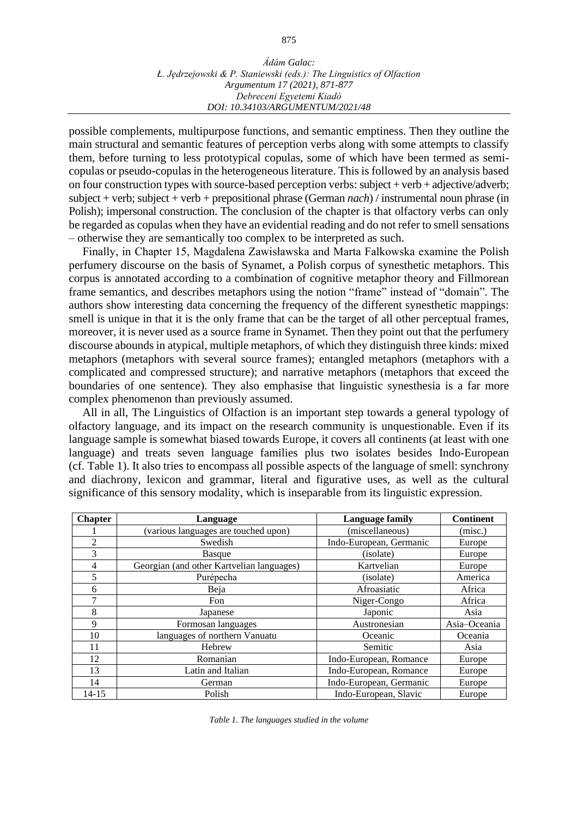possible complements, multipurpose functions, and semantic emptiness. Then they outline the main structural and semantic features of perception verbs along with some attempts to classify them, before turning to less prototypical copulas, some of which have been termed as semicopulas or pseudo-copulas in the heterogeneous literature. This is followed by an analysis based on four construction types with source-based perception verbs: subject + verb + adjective/adverb; subject + verb; subject + verb + prepositional phrase (German *nach*) / instrumental noun phrase (in Polish); impersonal construction. The conclusion of the chapter is that olfactory verbs can only be regarded as copulas when they have an evidential reading and do not refer to smell sensations – otherwise they are semantically too complex to be interpreted as such.

Finally, in Chapter 15, Magdalena Zawisławska and Marta Falkowska examine the Polish perfumery discourse on the basis of Synamet, a Polish corpus of synesthetic metaphors. This corpus is annotated according to a combination of cognitive metaphor theory and Fillmorean frame semantics, and describes metaphors using the notion "frame" instead of "domain". The authors show interesting data concerning the frequency of the different synesthetic mappings: smell is unique in that it is the only frame that can be the target of all other perceptual frames, moreover, it is never used as a source frame in Synamet. Then they point out that the perfumery discourse abounds in atypical, multiple metaphors, of which they distinguish three kinds: mixed metaphors (metaphors with several source frames); entangled metaphors (metaphors with a complicated and compressed structure); and narrative metaphors (metaphors that exceed the boundaries of one sentence). They also emphasise that linguistic synesthesia is a far more complex phenomenon than previously assumed.

All in all, The Linguistics of Olfaction is an important step towards a general typology of olfactory language, and its impact on the research community is unquestionable. Even if its language sample is somewhat biased towards Europe, it covers all continents (at least with one language) and treats seven language families plus two isolates besides Indo-European (cf. Table 1). It also tries to encompass all possible aspects of the language of smell: synchrony and diachrony, lexicon and grammar, literal and figurative uses, as well as the cultural significance of this sensory modality, which is inseparable from its linguistic expression.

| <b>Chapter</b> | Language                                  | <b>Language family</b>  | <b>Continent</b> |
|----------------|-------------------------------------------|-------------------------|------------------|
|                | (various languages are touched upon)      | (miscellaneous)         | (misc.)          |
| 2              | Swedish                                   | Indo-European, Germanic | Europe           |
| 3              | <b>Basque</b>                             | (isolate)               | Europe           |
| 4              | Georgian (and other Kartvelian languages) | Kartvelian              | Europe           |
| 5              | Purépecha                                 | (isolate)               | America          |
| 6              | Beja                                      | Afroasiatic             | Africa           |
| 7              | Fon                                       | Niger-Congo             | Africa           |
| 8              | Japanese                                  | Japonic                 | Asia             |
| 9              | Formosan languages                        | Austronesian            | Asia-Oceania     |
| 10             | languages of northern Vanuatu             | Oceanic                 | Oceania          |
| 11             | Hebrew                                    | Semitic                 | Asia             |
| 12             | Romanian                                  | Indo-European, Romance  | Europe           |
| 13             | Latin and Italian                         | Indo-European, Romance  | Europe           |
| 14             | German                                    | Indo-European, Germanic | Europe           |
| 14-15          | Polish                                    | Indo-European, Slavic   | Europe           |

*Table 1. The languages studied in the volume*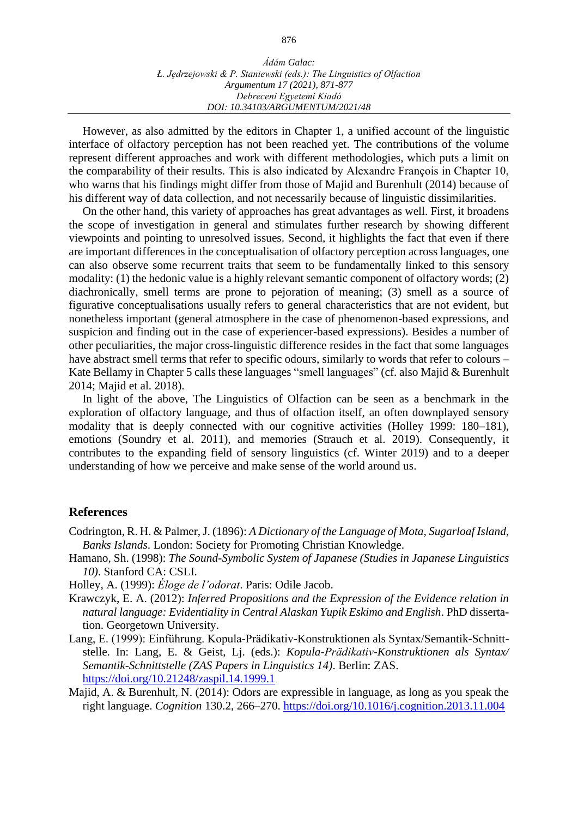However, as also admitted by the editors in Chapter 1, a unified account of the linguistic interface of olfactory perception has not been reached yet. The contributions of the volume represent different approaches and work with different methodologies, which puts a limit on the comparability of their results. This is also indicated by Alexandre François in Chapter 10, who warns that his findings might differ from those of Majid and Burenhult (2014) because of his different way of data collection, and not necessarily because of linguistic dissimilarities.

On the other hand, this variety of approaches has great advantages as well. First, it broadens the scope of investigation in general and stimulates further research by showing different viewpoints and pointing to unresolved issues. Second, it highlights the fact that even if there are important differences in the conceptualisation of olfactory perception across languages, one can also observe some recurrent traits that seem to be fundamentally linked to this sensory modality: (1) the hedonic value is a highly relevant semantic component of olfactory words; (2) diachronically, smell terms are prone to pejoration of meaning; (3) smell as a source of figurative conceptualisations usually refers to general characteristics that are not evident, but nonetheless important (general atmosphere in the case of phenomenon-based expressions, and suspicion and finding out in the case of experiencer-based expressions). Besides a number of other peculiarities, the major cross-linguistic difference resides in the fact that some languages have abstract smell terms that refer to specific odours, similarly to words that refer to colours – Kate Bellamy in Chapter 5 calls these languages "smell languages" (cf. also Majid & Burenhult 2014; Majid et al. 2018).

In light of the above, The Linguistics of Olfaction can be seen as a benchmark in the exploration of olfactory language, and thus of olfaction itself, an often downplayed sensory modality that is deeply connected with our cognitive activities (Holley 1999: 180–181), emotions (Soundry et al. 2011), and memories (Strauch et al. 2019). Consequently, it contributes to the expanding field of sensory linguistics (cf. Winter 2019) and to a deeper understanding of how we perceive and make sense of the world around us.

## **References**

- Codrington, R. H. & Palmer, J. (1896): *A Dictionary of the Language of Mota, Sugarloaf Island, Banks Islands*. London: Society for Promoting Christian Knowledge.
- Hamano, Sh. (1998): *The Sound-Symbolic System of Japanese (Studies in Japanese Linguistics 10)*. Stanford CA: CSLI.

Holley, A. (1999): *Éloge de l'odorat*. Paris: Odile Jacob.

- Krawczyk, E. A. (2012): *Inferred Propositions and the Expression of the Evidence relation in natural language: Evidentiality in Central Alaskan Yupik Eskimo and English*. PhD dissertation. Georgetown University.
- Lang, E. (1999): Einführung. Kopula-Prädikativ-Konstruktionen als Syntax/Semantik-Schnittstelle. In: Lang, E. & Geist, Lj. (eds.): *Kopula-Prädikativ-Konstruktionen als Syntax/ Semantik-Schnittstelle (ZAS Papers in Linguistics 14)*. Berlin: ZAS. <https://doi.org/10.21248/zaspil.14.1999.1>
- Majid, A. & Burenhult, N. (2014): Odors are expressible in language, as long as you speak the right language. *Cognition* 130.2, 266–270.<https://doi.org/10.1016/j.cognition.2013.11.004>